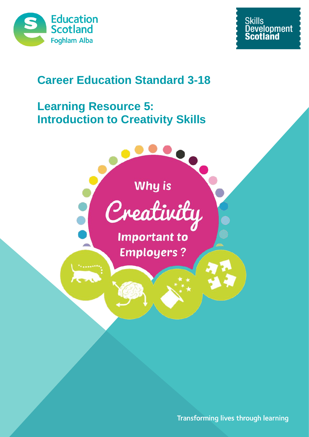



# **Career Education Standard 3-18**

# **Learning Resource 5: Introduction to Creativity Skills**





**Important to Employers?** 

Transforming lives through learning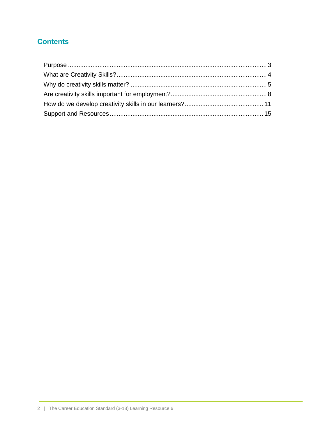# **Contents**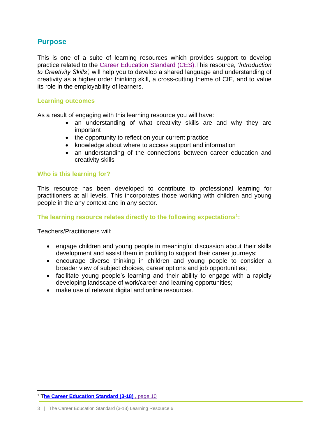# <span id="page-2-0"></span>**Purpose**

This is one of a suite of learning resources which provides support to develop practice related to the [Career Education Standard \(CES\).T](https://www.education.gov.scot/what-we-do/Developing%20employability%20and%20skills)his resource*, 'Introduction to Creativity Skills',* will help you to develop a shared language and understanding of creativity as a higher order thinking skill, a cross-cutting theme of CfE, and to value its role in the employability of learners.

#### **Learning outcomes**

As a result of engaging with this learning resource you will have:

- an understanding of what creativity skills are and why they are important
- the opportunity to reflect on your current practice
- knowledge about where to access support and information
- an understanding of the connections between career education and creativity skills

#### **Who is this learning for?**

This resource has been developed to contribute to professional learning for practitioners at all levels. This incorporates those working with children and young people in the any context and in any sector.

**The learning resource relates directly to the following expectations<sup>1</sup> :**

Teachers/Practitioners will:

- engage children and young people in meaningful discussion about their skills development and assist them in profiling to support their career journeys;
- encourage diverse thinking in children and young people to consider a broader view of subject choices, career options and job opportunities;
- facilitate young people's learning and their ability to engage with a rapidly developing landscape of work/career and learning opportunities;
- make use of relevant digital and online resources.

<sup>1</sup> <sup>1</sup> **[The Career Education Standard \(3-18\)](https://www.education.gov.scot/what-we-do/Developing%20employability%20and%20skills)** , page 10

<sup>3 |</sup> The Career Education Standard (3-18) Learning Resource 6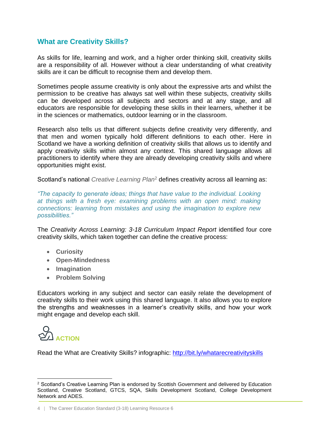# <span id="page-3-0"></span>**What are Creativity Skills?**

As skills for life, learning and work, and a higher order thinking skill, creativity skills are a responsibility of all. However without a clear understanding of what creativity skills are it can be difficult to recognise them and develop them.

Sometimes people assume creativity is only about the expressive arts and whilst the permission to be creative has always sat well within these subjects, creativity skills can be developed across all subjects and sectors and at any stage, and all educators are responsible for developing these skills in their learners, whether it be in the sciences or mathematics, outdoor learning or in the classroom.

Research also tells us that different subjects define creativity very differently, and that men and women typically hold different definitions to each other. Here in Scotland we have a working definition of creativity skills that allows us to identify and apply creativity skills within almost any context. This shared language allows all practitioners to identify where they are already developing creativity skills and where opportunities might exist.

Scotland's national *Creative Learning Plan*<sup>2</sup> defines creativity across all learning as:

*"The capacity to generate ideas; things that have value to the individual. Looking at things with a fresh eye: examining problems with an open mind: making connections: learning from mistakes and using the imagination to explore new possibilities."*

The *Creativity Across Learning: 3-18 Curriculum Impact Report* identified four core creativity skills, which taken together can define the creative process:

- **Curiosity**
- **Open-Mindedness**
- **Imagination**
- **Problem Solving**

Educators working in any subject and sector can easily relate the development of creativity skills to their work using this shared language. It also allows you to explore the strengths and weaknesses in a learner's creativity skills, and how your work might engage and develop each skill.



Read the What are Creativity Skills? infographic:<http://bit.ly/whatarecreativityskills>

<sup>1</sup> <sup>2</sup> Scotland's Creative Learning Plan is endorsed by Scottish Government and delivered by Education Scotland, Creative Scotland, GTCS, SQA, Skills Development Scotland, College Development Network and ADES.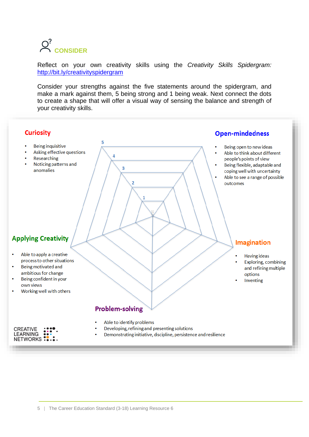

Reflect on your own creativity skills using the *Creativity Skills Spidergram:* <http://bit.ly/creativityspidergram>

Consider your strengths against the five statements around the spidergram, and make a mark against them, 5 being strong and 1 being weak. Next connect the dots to create a shape that will offer a visual way of sensing the balance and strength of your creativity skills.

<span id="page-4-0"></span>

**Being inquisitive** 

Researching

anomalies

Asking effective questions

Noticing patterns and

#### **Open-mindedness**

- Being open to new ideas
- Able to think about different people's points of view
- Being flexible, adaptable and coping well with uncertainty
- Able to see a range of possible outcomes

### **Imagination**

- **Having ideas** 
	- Exploring, combining and refining multiple options
	- Inventing

# **Applying Creativity**

- Able to apply a creative process to other situations
- Being motivated and ambitious for change
- Being confident in your own views
- Working well with others

| CREATIVE<br>LEARNING | $\ddotsc$<br>$\bullet\bullet\bullet$<br> |
|----------------------|------------------------------------------|
| NETWORKS:            |                                          |

# **Problem-solving**

5

 $\overline{a}$ 

 $\overline{\mathbf{3}}$ 

 $\overline{2}$ 

- Able to identify problems
- Developing, refining and presenting solutions
- Demonstrating initiative, discipline, persistence and resilience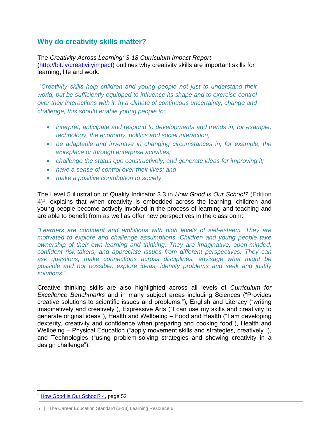## **Why do creativity skills matter?**

The *Creativity Across Learning: 3-18 Curriculum Impact Report* [\(http://bit.ly/creativityimpact\)](http://bit.ly/creativityimpact) outlines why creativity skills are important skills for learning, life and work:

*"Creativity skills help children and young people not just to understand their world, but be sufficiently equipped to influence its shape and to exercise control over their interactions with it. In a climate of continuous uncertainty, change and challenge, this should enable young people to:*

- *interpret, anticipate and respond to developments and trends in, for example, technology, the economy, politics and social interaction;*
- *be adaptable and inventive in changing circumstances in, for example, the workplace or through enterprise activities;*
- *challenge the status quo constructively, and generate ideas for improving it;*
- *have a sense of control over their lives; and*
- *make a positive contribution to society."*

The Level 5 illustration of Quality Indicator 3.3 in *How Good is Our School?* (Edition  $4)^3$ , explains that when creativity is embedded across the learning, children and young people become actively involved in the process of learning and teaching and are able to benefit from as well as offer new perspectives in the classroom:

*"Learners are confident and ambitious with high levels of self-esteem. They are motivated to explore and challenge assumptions. Children and young people take ownership of their own learning and thinking. They are imaginative, open-minded, confident risk-takers, and appreciate issues from different perspectives. They can ask questions, make connections across disciplines, envisage what might be possible and not possible, explore ideas, identify problems and seek and justify solutions."*

Creative thinking skills are also highlighted across all levels of *Curriculum for Excellence Benchmarks* and in many subject areas including Sciences ("Provides creative solutions to scientific issues and problems."), English and Literacy ("writing imaginatively and creatively"), Expressive Arts ("I can use my skills and creativity to generate original ideas"), Health and Wellbeing – Food and Health ("I am developing dexterity, creativity and confidence when preparing and cooking food"), Health and Wellbeing – Physical Education ("apply movement skills and strategies, creatively "), and Technologies ("using problem-solving strategies and showing creativity in a design challenge").

1

<sup>&</sup>lt;sup>3</sup> [How Good is Our School? 4,](https://education.gov.scot/improvement/Documents/Frameworks_SelfEvaluation/FRWK2_NIHeditHGIOS/FRWK2_HGIOS4.pdf) page 52

<sup>6 |</sup> The Career Education Standard (3-18) Learning Resource 6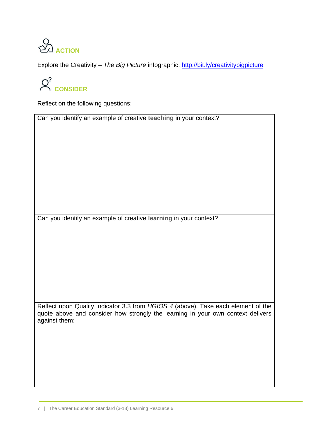

Explore the Creativity – *The Big Picture* infographic:<http://bit.ly/creativitybigpicture>

 $Q^?$  **CONSIDER** 

Reflect on the following questions:

Can you identify an example of creative **teaching** in your context?

Can you identify an example of creative **learning** in your context?

Reflect upon Quality Indicator 3.3 from *HGIOS 4* (above). Take each element of the quote above and consider how strongly the learning in your own context delivers against them: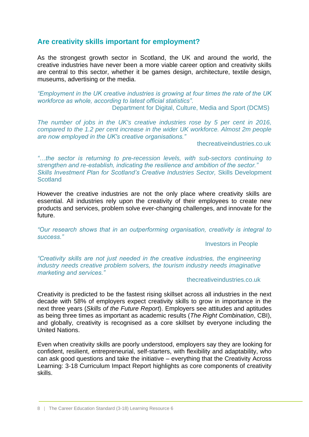### <span id="page-7-0"></span>**Are creativity skills important for employment?**

As the strongest growth sector in Scotland, the UK and around the world, the creative industries have never been a more viable career option and creativity skills are central to this sector, whether it be games design, architecture, textile design, museums, advertising or the media.

*"Employment in the UK creative industries is growing at four times the rate of the UK workforce as whole, according to latest official statistics".*

Department for Digital, Culture, Media and Sport (DCMS)

*The number of jobs in the UK's creative industries rose by 5 per cent in 2016, compared to the 1.2 per cent increase in the wider UK workforce. Almost 2m people are now employed in the UK's creative organisations."*

thecreativeindustries.co.uk

*"…the sector is returning to pre-recession levels, with sub-sectors continuing to strengthen and re-establish, indicating the resilience and ambition of the sector." Skills Investment Plan for Scotland's Creative Industries Sector,* Skills Development **Scotland** 

However the creative industries are not the only place where creativity skills are essential. All industries rely upon the creativity of their employees to create new products and services, problem solve ever-changing challenges, and innovate for the future.

*"Our research shows that in an outperforming organisation, creativity is integral to success."*

#### Investors in People

*"Creativity skills are not just needed in the creative industries, the engineering industry needs creative problem solvers, the tourism industry needs imaginative marketing and services."*

#### thecreativeindustries.co.uk

Creativity is predicted to be the fastest rising skillset across all industries in the next decade with 58% of employers expect creativity skills to grow in importance in the next three years (*Skills of the Future Report*). Employers see attitudes and aptitudes as being three times as important as academic results (*The Right Combination*, CBI), and globally, creativity is recognised as a core skillset by everyone including the United Nations.

Even when creativity skills are poorly understood, employers say they are looking for confident, resilient, entrepreneurial, self-starters, with flexibility and adaptability, who can ask good questions and take the initiative – everything that the Creativity Across Learning: 3-18 Curriculum Impact Report highlights as core components of creativity skills.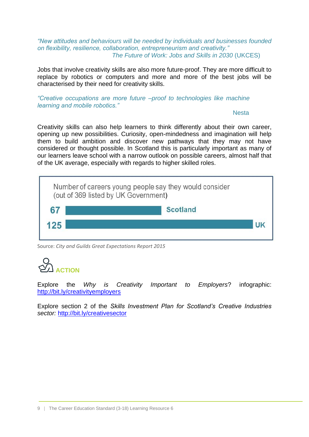#### *"New attitudes and behaviours will be needed by individuals and businesses founded on flexibility, resilience, collaboration, entrepreneurism and creativity." The Future of Work: Jobs and Skills in 2030* (UKCES)

Jobs that involve creativity skills are also more future-proof. They are more difficult to replace by robotics or computers and more and more of the best jobs will be characterised by their need for creativity skills.

#### *"Creative occupations are more future –proof to technologies like machine learning and mobile robotics."*

#### Nesta

Creativity skills can also help learners to think differently about their own career, opening up new possibilities. Curiosity, open-mindedness and imagination will help them to build ambition and discover new pathways that they may not have considered or thought possible. In Scotland this is particularly important as many of our learners leave school with a narrow outlook on possible careers, almost half that of the UK average, especially with regards to higher skilled roles.

| <b>Scotland</b> |  |
|-----------------|--|
|                 |  |
|                 |  |

Source: *City and Guilds Great Expectations Report 2015*

# **ACTION**

Explore the *Why is Creativity Important to Employers*? infographic: <http://bit.ly/creativityemployers>

Explore section 2 of the *Skills Investment Plan for Scotland's Creative Industries sector:* <http://bit.ly/creativesector>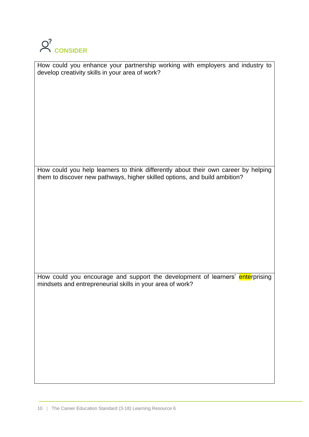

| How could you enhance your partnership working with employers and industry to |  |  |
|-------------------------------------------------------------------------------|--|--|
| develop creativity skills in your area of work?                               |  |  |

How could you help learners to think differently about their own career by helping them to discover new pathways, higher skilled options, and build ambition?

How could you encourage and support the development of learners' enterprising mindsets and entrepreneurial skills in your area of work?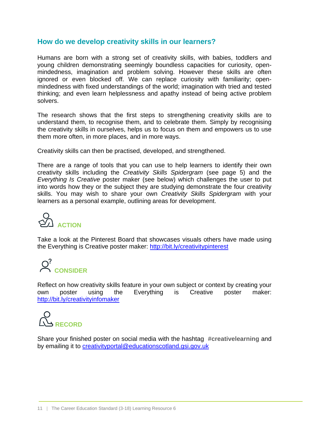### <span id="page-10-0"></span>**How do we develop creativity skills in our learners?**

Humans are born with a strong set of creativity skills, with babies, toddlers and young children demonstrating seemingly boundless capacities for curiosity, openmindedness, imagination and problem solving. However these skills are often ignored or even blocked off. We can replace curiosity with familiarity; openmindedness with fixed understandings of the world; imagination with tried and tested thinking; and even learn helplessness and apathy instead of being active problem solvers.

The research shows that the first steps to strengthening creativity skills are to understand them, to recognise them, and to celebrate them. Simply by recognising the creativity skills in ourselves, helps us to focus on them and empowers us to use them more often, in more places, and in more ways.

Creativity skills can then be practised, developed, and strengthened.

There are a range of tools that you can use to help learners to identify their own creativity skills including the *Creativity Skills Spidergram* (see page 5) and the *Everything Is Creative* poster maker (see below) which challenges the user to put into words how they or the subject they are studying demonstrate the four creativity skills. You may wish to share your own *Creativity Skills Spidergram* with your learners as a personal example, outlining areas for development.



Take a look at the Pinterest Board that showcases visuals others have made using the Everything is Creative poster maker:<http://bit.ly/creativitypinterest>

# Q<sup>2</sup> CONSIDER

Reflect on how creativity skills feature in your own subject or context by creating your own poster using the Everything is Creative poster maker: <http://bit.ly/creativityinfomaker>



Share your finished poster on social media with the hashtag **#creativelearning** and by emailing it to [creativityportal@educationscotland.gsi.gov.uk](mailto:creativityportal@educationscotland.gsi.gov.uk)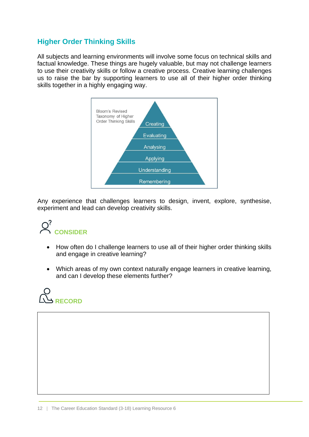# **Higher Order Thinking Skills**

All subjects and learning environments will involve some focus on technical skills and factual knowledge. These things are hugely valuable, but may not challenge learners to use their creativity skills or follow a creative process. Creative learning challenges us to raise the bar by supporting learners to use all of their higher order thinking skills together in a highly engaging way.



Any experience that challenges learners to design, invent, explore, synthesise, experiment and lead can develop creativity skills.



- How often do I challenge learners to use all of their higher order thinking skills and engage in creative learning?
- Which areas of my own context naturally engage learners in creative learning, and can I develop these elements further?

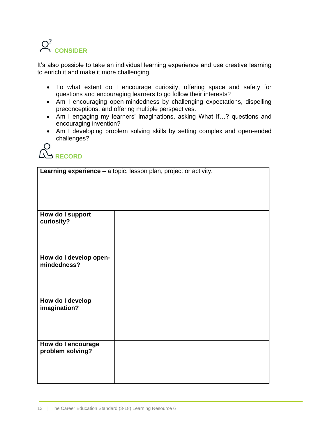

It's also possible to take an individual learning experience and use creative learning to enrich it and make it more challenging.

- To what extent do I encourage curiosity, offering space and safety for questions and encouraging learners to go follow their interests?
- Am I encouraging open-mindedness by challenging expectations, dispelling preconceptions, and offering multiple perspectives.
- Am I engaging my learners' imaginations, asking What If…? questions and encouraging invention?
- Am I developing problem solving skills by setting complex and open-ended challenges?



**Learning experience** – a topic, lesson plan, project or activity.

| How do I support<br>curiosity?         |  |
|----------------------------------------|--|
|                                        |  |
| How do I develop open-<br>mindedness?  |  |
|                                        |  |
| How do I develop                       |  |
| imagination?                           |  |
|                                        |  |
|                                        |  |
| How do I encourage<br>problem solving? |  |
|                                        |  |
|                                        |  |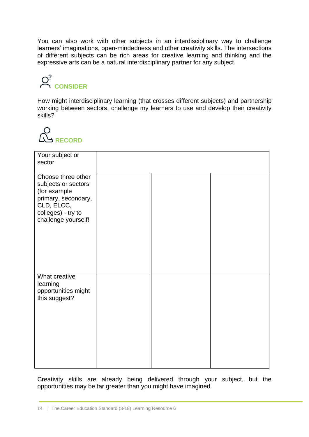You can also work with other subjects in an interdisciplinary way to challenge learners' imaginations, open-mindedness and other creativity skills. The intersections of different subjects can be rich areas for creative learning and thinking and the expressive arts can be a natural interdisciplinary partner for any subject.

# Q<sup>2</sup> CONSIDER

How might interdisciplinary learning (that crosses different subjects) and partnership working between sectors, challenge my learners to use and develop their creativity skills?



| Your subject or<br>sector                                                                                                                   |  |  |
|---------------------------------------------------------------------------------------------------------------------------------------------|--|--|
| Choose three other<br>subjects or sectors<br>(for example<br>primary, secondary,<br>CLD, ELCC,<br>colleges) - try to<br>challenge yourself! |  |  |
| What creative<br>learning<br>opportunities might<br>this suggest?                                                                           |  |  |

Creativity skills are already being delivered through your subject, but the opportunities may be far greater than you might have imagined.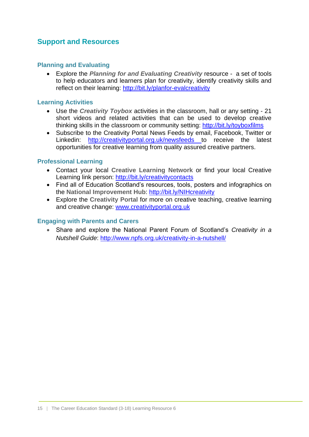# <span id="page-14-0"></span>**Support and Resources**

#### **Planning and Evaluating**

 Explore the *Planning for and Evaluating Creativity* resource - a set of tools to help educators and learners plan for creativity, identify creativity skills and reflect on their learning:<http://bit.ly/planfor-evalcreativity>

#### **Learning Activities**

- Use the *Creativity Toybox* activities in the classroom, hall or any setting 21 short videos and related activities that can be used to develop creative thinking skills in the classroom or community setting:<http://bit.ly/toyboxfilms>
- Subscribe to the Creativity Portal News Feeds by email, Facebook, Twitter or Linkedin: <http://creativityportal.org.uk/newsfeeds> to receive the latest opportunities for creative learning from quality assured creative partners.

#### **Professional Learning**

- Contact your local **Creative Learning Network** or find your local Creative Learning link person:<http://bit.ly/creativitycontacts>
- Find all of Education Scotland's resources, tools, posters and infographics on the **National Improvement Hub**:<http://bit.ly/NIHcreativity>
- Explore the **Creativity Portal** for more on creative teaching, creative learning and creative change: [www.creativityportal.org.uk](http://www.creativityportal.org.uk/)

#### **Engaging with Parents and Carers**

 Share and explore the National Parent Forum of Scotland's *Creativity in a Nutshell Guide*:<http://www.npfs.org.uk/creativity-in-a-nutshell/>